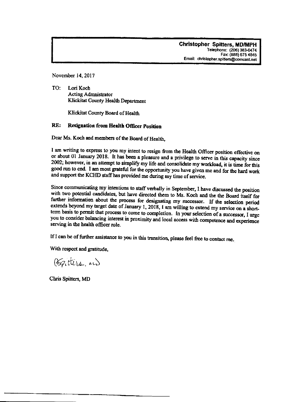November 14, 2017

TO: Lori Koch **Acting Admnistrator** Klickitat County Health Department

Klickitat County Board of Health

#### RE: Resignation from Health Officer Position

Dear Ms. Koch and members of the Board of Health.

I am writing to express to you my intent to resign from the Health Officer position effective on or about 01 January 2018. It has been a pleasure and a privilege to serve in this capacity since 2002; however, in an attempt to simplify my life and consolidate my workload, it is time for this good run to end. I am most grateful for the opportunity you have given me and for the hard work and support the KCHD staff has provided me during my time of service.

Since communicating my intentions to staff verbally in September, I have discussed the position with two potential candidates, but have directed them to Ms. Koch and the the Board itself for further information about the process for designating my successor. If the selection period extends beyond my target date of January 1, 2018, I am willing to extend my service on a shortterm basis to permit that process to come to completion. In your selection of a successor, I urge you to consider balancing interest in proximity and local access with competence and experience serving in the health officer role.

If I can be of further assistance to you in this transition, please feel free to contact me.

With respect and gratitude,

(Frittis, m)

Chris Spitters, MD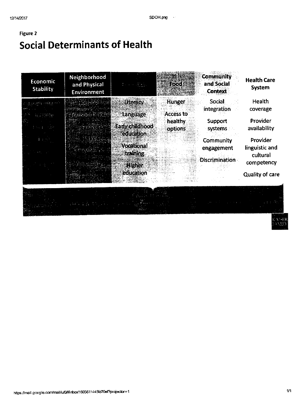### Figure 2 **Social Determinants of Health**

| Economic<br><b>Stability</b> | Neighborhood<br>and Physical<br>Environment |                                     | <b>FILL</b>                       | <b>Community</b><br>and Social<br><b>Context</b> | <b>Health Care</b><br><b>System</b> |
|------------------------------|---------------------------------------------|-------------------------------------|-----------------------------------|--------------------------------------------------|-------------------------------------|
|                              |                                             | Literacy<br>Language                | <b>Hunger</b><br><b>Access to</b> | <b>Social</b><br>integration                     | Health<br>coverage                  |
|                              |                                             | <b>Early childhood</b><br>editenton | <b>healthy</b><br>options         | Support<br>systems                               | Provider<br>availability            |
|                              |                                             | Vocational                          |                                   | Community<br>engagement                          | Provider<br>linguistic and          |
|                              |                                             | training<br><b>Higher</b>           |                                   | <b>Discrimination</b>                            | cultural<br>competency              |
|                              |                                             | education                           |                                   |                                                  | <b>Quality of care</b>              |

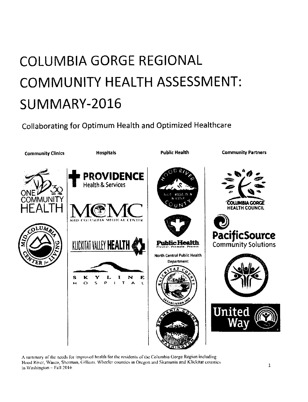# COLUMBIA GORGE REGIONAL COMMUNITY HEALTH ASSESSMENT: SUMMARY-2016

Collaborating for Optimum Health and Optimized Healthcare



A summary of the needs for improved health for the residents of the Columbia Gorge Region including Hood River, Wasco, Sherman, Gilliam, Wheeler counties in Oregon and Skamania and Klickitat counties in Washington -- Fall 2016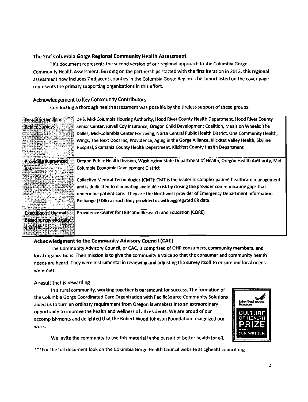#### The 2nd Columbia Gorge Regional Community Health Assessment

This document represents the second version of our regional approach to the Columbia Gorge Community Health Assessment. Building on the partnerships started with the first iteration in 2013, this regional assessment now includes 7 adjacent counties in the Columbia Gorge Region. The cohort listed on the cover page represents the primary supporting organi2ations in this effort.

#### Acknowledgement to Key Community Contributors

conducting a thorough health assessment was postible by the tireless support of these groups.

| For gathering hand-           | DHS, Mid-Columbia Housing Authority, Hood River County Health Department, Hood River County         |
|-------------------------------|-----------------------------------------------------------------------------------------------------|
| fielded surveys               | Senior Center, Revell Coy Insurance, Oregon Child Development Coalition, Meals on Wheels: The       |
|                               | Dalles, Mid-Columbia Center For Living, North Central Public Health District, One Community Health, |
|                               | Wings, The Next Door Inc, Providence, Aging in the Gorge Alliance, Klickitat Valley Health, Skyline |
|                               | Hospital, Skamania County Health Department, Klickitat County Health Department                     |
| Providing augmented           | Oregon Public Health Division, Washington State Department of Health, Oregon Health Authority, Mid- |
| data                          | <b>Columbia Economic Development District</b>                                                       |
|                               | Collective Medical Technologies (CMT): CMT is the leader in complex patient healthcare management   |
|                               | and is dedicated to eliminating avoidable risk by closing the provider communication gaps that      |
|                               | undermine patient care. They are the Northwest provider of Emergency Department Information         |
|                               | Exchange (EDIE) as such they provided us with aggregated ER data.                                   |
| <b>Execution of the mail-</b> | Providence Center for Outcome Research and Education (CORE)                                         |
| based survey and data         |                                                                                                     |
| <b>Fanalysis</b>              |                                                                                                     |

#### Acknowledgment to the Community Advisory Council (CAC)

The community Advisory Council. or CAC, is comprised of oHP consumers, community members, and local organizations. Their mission is to give the community a voice so that the consumer and community health needs are heard. They were instrumental in reviewing and adjusting the survey itself to ensure our local needs were met.

#### A resuft that is rewarding

a de la propia de la constitución

In a rural community, working together is paramount for success. The formation of the Columbia corge Coordinated Care Organization with Pacificsource Community Solutions aided us to turn an ordinary requirement from Oregon lawmakers into an extraordinary opportunity to improve the health and wellness of all residents. We are proud of our accomplishments and delighted that the Robert Wood Johnson Foundation recognized our work.



We invite the community to use this material in the pursuit of better health for all.

\*\*\*For the full document look on the Columbia Gorge Health Council website at cghealthcouncil.org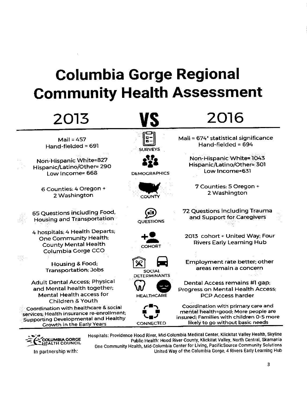## **Columbia Gorge Regional Community Health Assessment**

| 2013                                                                                                                                                    |                                      | 2016                                                                                                                                                      |
|---------------------------------------------------------------------------------------------------------------------------------------------------------|--------------------------------------|-----------------------------------------------------------------------------------------------------------------------------------------------------------|
| Mail = $457$<br>Hand-fielded = 691                                                                                                                      | <b>SURVEYS</b>                       | Mail = 674 <sup>*</sup> statistical significance<br>Hand-fielded = $694$                                                                                  |
| Non-Hispanic White=827<br>Hispanic/Latino/Other=290<br>Low Income= 668                                                                                  | <b>DEMOCRAPHICS</b>                  | Non-Hispanic White=1043<br>Hispanic/Latino/Other=301<br>Low Income=631                                                                                    |
| 6 Counties: 4 Oregon +<br>2 Washington                                                                                                                  | COUNTY                               | 7 Counties: 5 Oregon +<br>2 Washington                                                                                                                    |
| 65 Questions including Food,<br>Housing and Transportation                                                                                              | <b>OUESTIONS</b>                     | 72 Questions including Trauma<br>and Support for Caregivers                                                                                               |
| 4 hospitals; 4 Health Departs;<br>One Community Health;<br><b>County Mental Health</b><br>Columbia Gorge CCO                                            | COHORT                               | 2013 cohort + United Way; Four<br><b>Rivers Early Learning Hub</b>                                                                                        |
| Housing & Food;<br><b>Transportation</b> ; Jobs                                                                                                         | <b>SOCIAL</b><br><b>DETERMINANTS</b> | Employment rate better; other<br>areas remain a concern                                                                                                   |
| <b>Adult Dental Access: Physical</b><br>and Mental health together;<br><b>Mental Health access for</b><br>Children & Youth                              | <b>HEALTHCARE</b>                    | Dental Access remains #1 gap;<br>Progress on Mental Health Access;<br><b>PCP Access harder</b>                                                            |
| Coordination with healthcare & social<br>services, Health insurance re-enrollment;<br>Supporting Developmental and Healthy<br>Growth in the Early Years | <b>CONNECTED</b>                     | Coordination with primary care and<br>mental health=good; More people are<br>insured: Families with children 0-5 more<br>likely to go without basic needs |



In partnership with:

Hospitals: Providence Hood River, Mid-Columbia Medical Center, Klickitat Valley Health, Skyline Public Health: Hood River County, Klickitat Valley, North Central, Skamania One Community Health, Mid-Columbia Center for Living, PacificSource Community Solutions United Way of the Columbia Gorge, 4 Rivers Early Learning Hub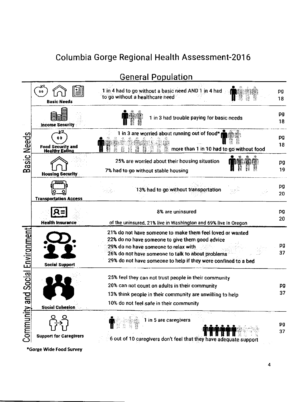

### **General Population**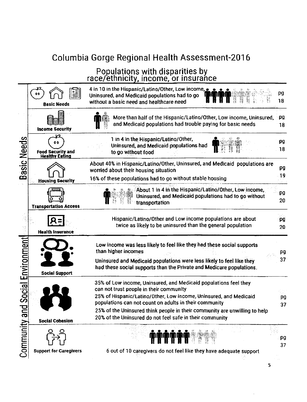### Populations with disparities by race/ethnicity, income, or insurance

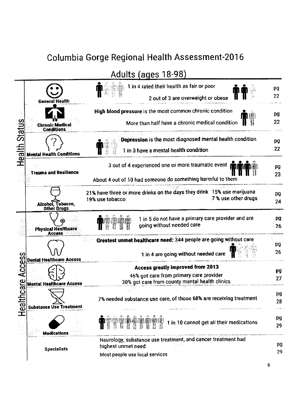Adults (ages 18-98)

|                                          | <b>General Health</b>                       | 1 in 4 rated their health as fair or poor<br>2 out of 3 are overweight or obese                                                | pg<br>22              |
|------------------------------------------|---------------------------------------------|--------------------------------------------------------------------------------------------------------------------------------|-----------------------|
|                                          | <b>Chronic Medical</b><br><b>Conditions</b> | High blood pressure is the most common chronic condition<br>More than half have a chronic medical condition                    | pg<br>22              |
| Health Stat                              | <b>Mental Health Conditions</b>             | Depression is the most diagnosed mental health condition<br>1 in 3 have a mental health condition                              | pg<br>22              |
|                                          | <b>Trauma and Resilience</b>                | 3 out of 4 experienced one or more traumatic event<br>About 4 out of 10 had someone do something harmful to them               | pg<br>23              |
|                                          | Alcohol, Tobacco,<br><b>Other Drugs</b>     | 21% have three or more drinks on the days they drink 15% use marijuana<br>7 % use other drugs<br>19% use tobacco               | pg<br>24              |
|                                          | <b>Physical Healthcare</b><br><b>Access</b> | 1 in 5 do not have a primary care provider and are<br>going without needed care                                                | pg<br>26              |
|                                          | <b>Dental Healthcare Access</b>             | Greatest unmet healthcare need: 344 people are going without care<br>1 in 4 are going without needed care                      | pg<br>26              |
|                                          | <b>Mental Healthcare Access</b>             | Access greatly improved from 2013<br>46% got care from primary care provider<br>30% got care from county mental health clinics | pg<br>27 <sub>2</sub> |
| althcare Access<br>$\mathbf \omega$<br>┱ | Substance Use Treatment                     | 7% needed substance use care, of those 68% are receiving treatment                                                             | pg<br>28              |
|                                          | <b>Medications</b>                          | 1 in 10 cannot get all their medications<br>B                                                                                  | pg<br>29              |
|                                          | <b>Specialists</b>                          | Neurology, substance use treatment, and cancer treatment had<br>highest unmet need<br>Most people use local services           | pg<br>29              |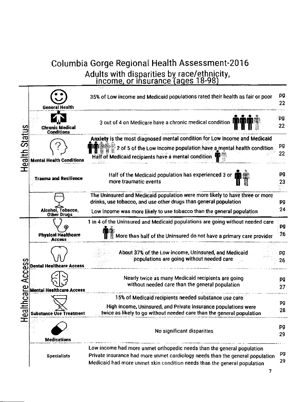## Columbia Gorge Regional Health Assessment-2016 Adults with disparities by race/ethnicity,<br>income, or insurance (ages 18-98)

|                                     | General Health                          | 35% of Low income and Medicaid populations rated their health as fair or poor                                                                                                                                                       | pg<br>22  |
|-------------------------------------|-----------------------------------------|-------------------------------------------------------------------------------------------------------------------------------------------------------------------------------------------------------------------------------------|-----------|
| <u>ვ</u><br>Statu<br>alth           | Chronic Medical<br><b>Conditions</b>    | 3 out of 4 on Medicare have a chronic medical condition $\mathbf{H}$                                                                                                                                                                | ₹pg<br>22 |
|                                     | <b>Mental Health Conditions</b>         | Anxiety is the most diagnosed mental condition for Low income and Medicaid<br>2 of 5 of the Low income population have a mental health condition.<br>Half of Medicaid recipients have a mental condition                            | pg<br>22  |
| d.<br>Ī                             | <b>Trauma and Resilience</b>            | Half of the Medicaid population has experienced 3 or<br>more traumatic events                                                                                                                                                       | pg<br>23  |
|                                     | Alcohol, Tobacco,<br><b>Other Drugs</b> | The Uninsured and Medicaid population were more likely to have three or more<br>drinks, use tobacco, and use other drugs than general population<br>Low income was more likely to use tobacco than the general population           | pg<br>24  |
|                                     | Physical Healthcare<br><b>Access</b>    | 1 in 4 of the Uninsured and Medicaid populations are going without needed care<br>More than half of the Uninsured do not have a primary care provider                                                                               | pg<br>26  |
| ၯ                                   | Dental Healthcare Access                | About 37% of the Low income, Uninsured, and Medicaid<br>populations are going without needed care                                                                                                                                   | pg<br>26  |
| $\mathbf{q}$<br>ں<br>are<br>رے<br>Œ | <b>Mental Healthcare Access</b>         | Nearly twice as many Medicaid recipients are going<br>without needed care than the general population                                                                                                                               | pg<br>27  |
|                                     | Supstance Ose Treatment                 | 15% of Medicaid recipients needed substance use care<br>High income, Uninsured, and Private insurance populations were<br>twice as likely to go without needed care than the general population                                     | pg<br>28  |
|                                     | <b>Medications</b>                      | No significant disparities                                                                                                                                                                                                          | pg<br>29  |
|                                     | <b>Specialists</b>                      | Low income had more unmet orthopedic needs than the general population<br>Private insurance had more unmet cardiology needs than the general population<br>Medicaid had more unmet skin condition needs than the general population | pg<br>29  |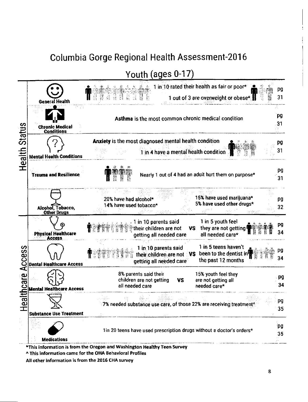Youth (ages 0-17)



All other information is from the 2016 CHA survey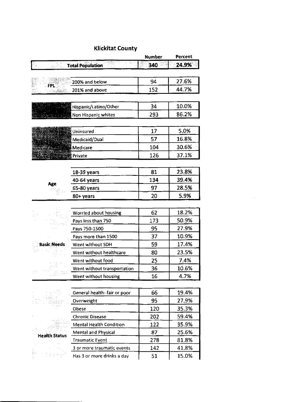#### **Klickitat County**

|                      |                                | <b>Number</b> | Percent |
|----------------------|--------------------------------|---------------|---------|
|                      | <b>Total Population</b>        | 340           | 24.9%   |
|                      |                                |               |         |
|                      | 200% and below                 | 94            | 27.6%   |
| FPL.                 | 201% and above                 | 152           | 44.7%   |
|                      |                                |               |         |
|                      | Hispanic/Latino/Other          | 34            | 10.0%   |
|                      | Non Hispanic whites            | 293           | 86.2%   |
|                      |                                |               |         |
|                      | Uninsured                      | 17            | 5.0%    |
|                      | Medicaid/Dual                  | 57            | 16.8%   |
|                      | Medicare                       | 104           | 30.6%   |
|                      | Private                        | 126           | 37.1%   |
|                      |                                |               |         |
|                      | 18-39 years                    | 81            | 23.8%   |
|                      | 40-64 years                    | 134           | 39.4%   |
| Age                  | 65-80 years                    | 97            | 28.5%   |
|                      | 80+ years                      | 20            | 5.9%    |
|                      |                                |               |         |
|                      | Worried about housing          | 62            | 18.2%   |
|                      | Pays less than 750             | 173           | 50.9%   |
|                      | Pays 750-1500                  | 95            | 27.9%   |
|                      | Pays more than 1500            | 37            | 10.9%   |
| <b>Basic Needs</b>   | Went without SDH               | 59            | 17.4%   |
|                      | Went without healthcare        | 80            | 23.5%   |
|                      | Went without food              | 25            | 7.4%    |
|                      | Went without transportation    | 36            | 10.6%   |
|                      | Went without housing           | 16            | 4.7%    |
|                      |                                |               |         |
|                      | General health- fair or poor   | 66            | 19.4%   |
|                      | Overweight                     | 95            | 27.9%   |
|                      | Obese                          | 120           | 35.3%   |
|                      | <b>Chronic Disease</b>         | 202           | 59.4%   |
|                      | <b>Mental Health Condition</b> | 122           | 35.9%   |
| <b>Health Status</b> | Mental and Physical            | 87            | 25.6%   |
|                      | <b>Traumatic Event</b>         | 278           | 81.8%   |
|                      | 3 or more traumatic events     | 142           | 41.8%   |
|                      | Has 3 or more drinks a day     | 51            | 15.0%   |

 $\sim$